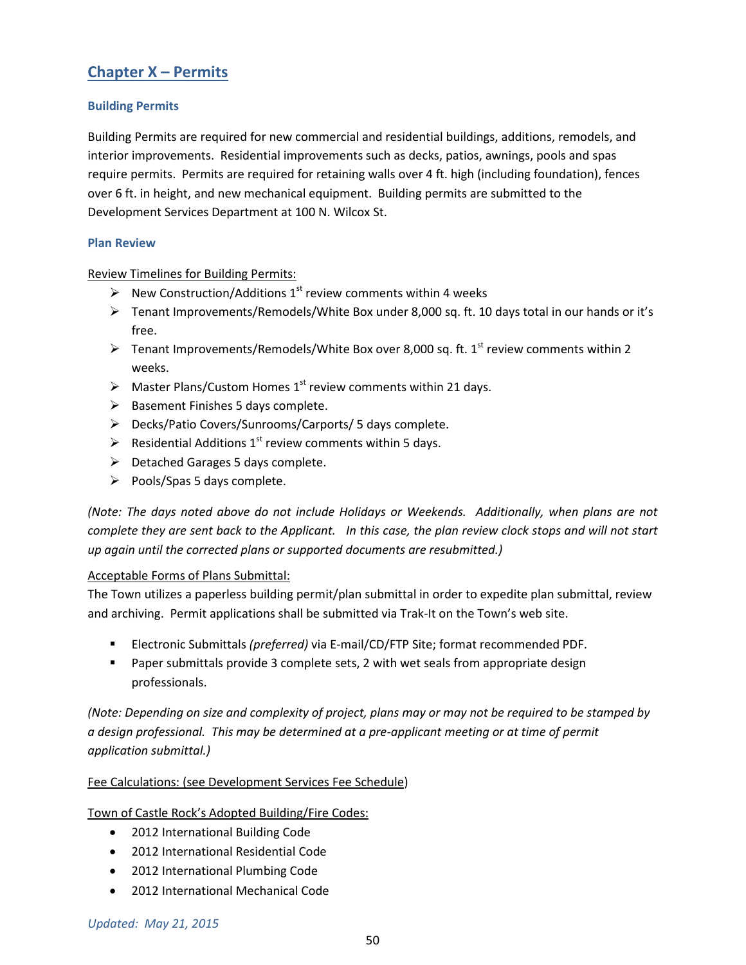# **Chapter X – Permits**

# **Building Permits**

Building Permits are required for new commercial and residential buildings, additions, remodels, and interior improvements. Residential improvements such as decks, patios, awnings, pools and spas require permits. Permits are required for retaining walls over 4 ft. high (including foundation), fences over 6 ft. in height, and new mechanical equipment. Building permits are submitted to the Development Services Department at 100 N. Wilcox St.

## **Plan Review**

Review Timelines for Building Permits:

- $\triangleright$  New Construction/Additions 1<sup>st</sup> review comments within 4 weeks
- $\triangleright$  Tenant Improvements/Remodels/White Box under 8,000 sq. ft. 10 days total in our hands or it's free.
- Fenant Improvements/Remodels/White Box over 8,000 sq. ft. 1<sup>st</sup> review comments within 2 weeks.
- $\triangleright$  Master Plans/Custom Homes 1<sup>st</sup> review comments within 21 days.
- $\triangleright$  Basement Finishes 5 days complete.
- Decks/Patio Covers/Sunrooms/Carports/ 5 days complete.
- Residential Additions  $1<sup>st</sup>$  review comments within 5 days.
- $\triangleright$  Detached Garages 5 days complete.
- $\triangleright$  Pools/Spas 5 days complete.

*(Note: The days noted above do not include Holidays or Weekends. Additionally, when plans are not complete they are sent back to the Applicant. In this case, the plan review clock stops and will not start up again until the corrected plans or supported documents are resubmitted.)*

## Acceptable Forms of Plans Submittal:

The Town utilizes a paperless building permit/plan submittal in order to expedite plan submittal, review and archiving. Permit applications shall be submitted via Trak-It on the Town's web site.

- Electronic Submittals *(preferred)* via E-mail/CD/FTP Site; format recommended PDF.
- **Paper submittals provide 3 complete sets, 2 with wet seals from appropriate design** professionals.

*(Note: Depending on size and complexity of project, plans may or may not be required to be stamped by a design professional. This may be determined at a pre-applicant meeting or at time of permit application submittal.)*

# Fee Calculations: (see Development Services Fee Schedule)

Town of Castle Rock's Adopted Building/Fire Codes:

- 2012 International Building Code
- 2012 International Residential Code
- 2012 International Plumbing Code
- 2012 International Mechanical Code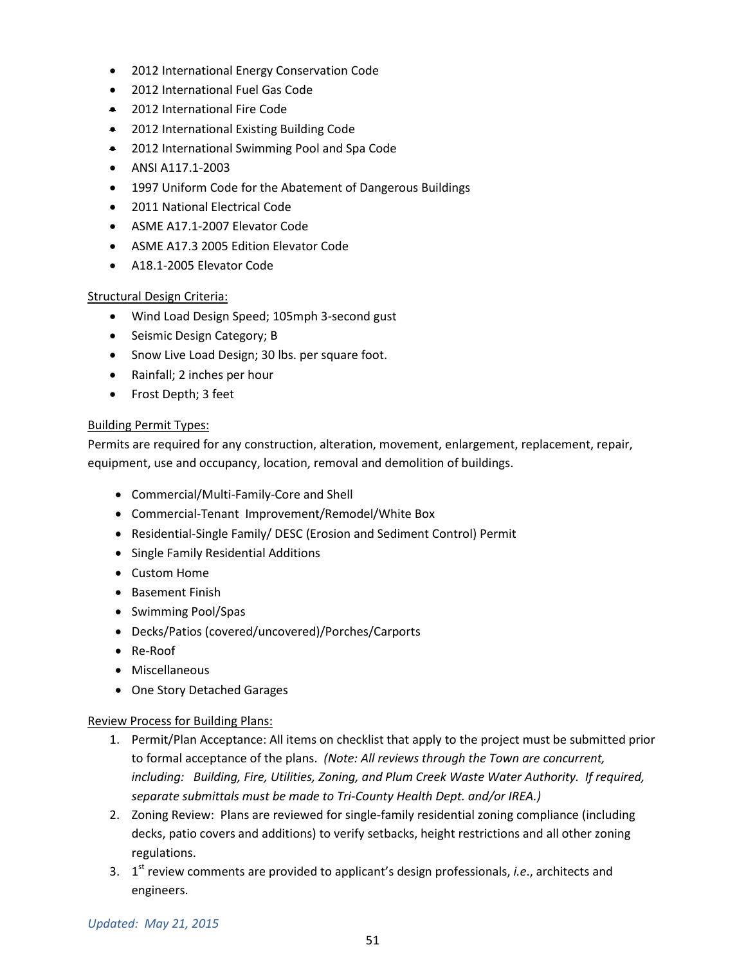- 2012 International Energy Conservation Code
- 2012 International Fuel Gas Code
- 2012 International Fire Code
- 2012 International Existing Building Code
- 2012 International Swimming Pool and Spa Code
- ANSI A117.1-2003
- 1997 Uniform Code for the Abatement of Dangerous Buildings
- 2011 National Electrical Code
- ASME A17.1-2007 Elevator Code
- ASME A17.3 2005 Edition Elevator Code
- A18.1-2005 Elevator Code

## Structural Design Criteria:

- Wind Load Design Speed; 105mph 3-second gust
- Seismic Design Category; B
- Snow Live Load Design; 30 lbs. per square foot.
- Rainfall; 2 inches per hour
- Frost Depth; 3 feet

## Building Permit Types:

Permits are required for any construction, alteration, movement, enlargement, replacement, repair, equipment, use and occupancy, location, removal and demolition of buildings.

- Commercial/Multi-Family-Core and Shell
- Commercial-Tenant Improvement/Remodel/White Box
- Residential-Single Family/ DESC (Erosion and Sediment Control) Permit
- Single Family Residential Additions
- Custom Home
- Basement Finish
- Swimming Pool/Spas
- Decks/Patios (covered/uncovered)/Porches/Carports
- Re-Roof
- Miscellaneous
- One Story Detached Garages

## Review Process for Building Plans:

- 1. Permit/Plan Acceptance: All items on checklist that apply to the project must be submitted prior to formal acceptance of the plans. *(Note: All reviews through the Town are concurrent, including: Building, Fire, Utilities, Zoning, and Plum Creek Waste Water Authority. If required, separate submittals must be made to Tri-County Health Dept. and/or IREA.)*
- 2. Zoning Review: Plans are reviewed for single-family residential zoning compliance (including decks, patio covers and additions) to verify setbacks, height restrictions and all other zoning regulations.
- 3. 1st review comments are provided to applicant's design professionals, *i.e*., architects and engineers.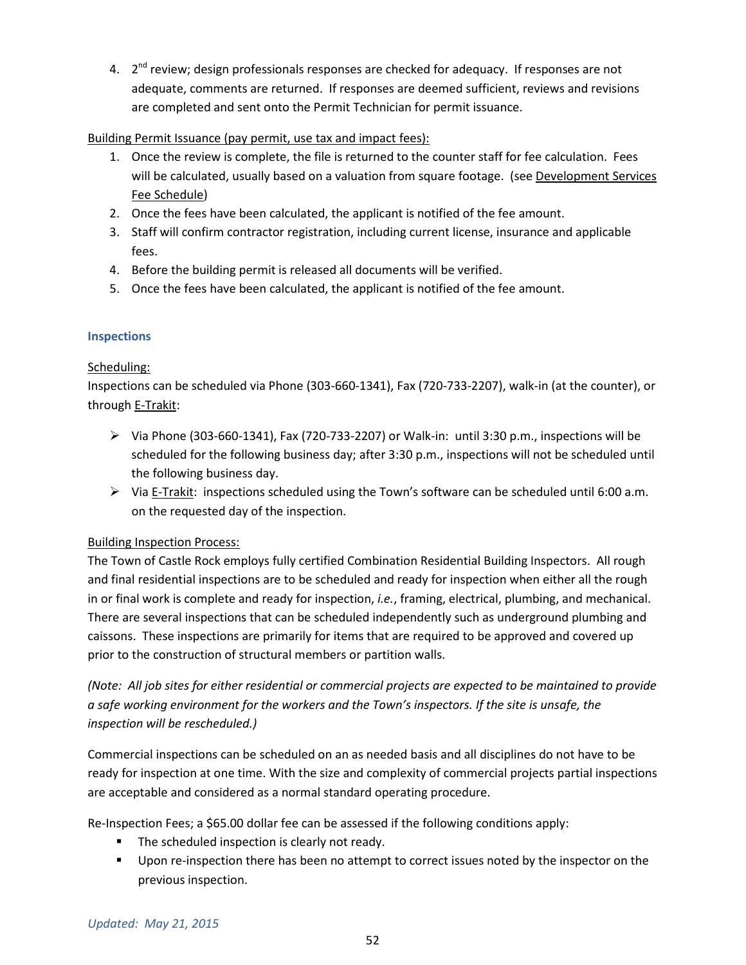4.  $2^{nd}$  review; design professionals responses are checked for adequacy. If responses are not adequate, comments are returned. If responses are deemed sufficient, reviews and revisions are completed and sent onto the Permit Technician for permit issuance.

# Building Permit Issuance (pay permit, use tax and impact fees):

- 1. Once the review is complete, the file is returned to the counter staff for fee calculation. Fees will be calculated, usually based on a valuation from square footage. (see Development Services Fee Schedule)
- 2. Once the fees have been calculated, the applicant is notified of the fee amount.
- 3. Staff will confirm contractor registration, including current license, insurance and applicable fees.
- 4. Before the building permit is released all documents will be verified.
- 5. Once the fees have been calculated, the applicant is notified of the fee amount.

# **Inspections**

# Scheduling:

Inspections can be scheduled via Phone (303-660-1341), Fax (720-733-2207), walk-in (at the counter), or through E-Trakit:

- $\triangleright$  Via Phone (303-660-1341), Fax (720-733-2207) or Walk-in: until 3:30 p.m., inspections will be scheduled for the following business day; after 3:30 p.m., inspections will not be scheduled until the following business day.
- $\triangleright$  Via E-Trakit: inspections scheduled using the Town's software can be scheduled until 6:00 a.m. on the requested day of the inspection.

# Building Inspection Process:

The Town of Castle Rock employs fully certified Combination Residential Building Inspectors. All rough and final residential inspections are to be scheduled and ready for inspection when either all the rough in or final work is complete and ready for inspection, *i.e.*, framing, electrical, plumbing, and mechanical. There are several inspections that can be scheduled independently such as underground plumbing and caissons. These inspections are primarily for items that are required to be approved and covered up prior to the construction of structural members or partition walls.

*(Note: All job sites for either residential or commercial projects are expected to be maintained to provide a safe working environment for the workers and the Town's inspectors. If the site is unsafe, the inspection will be rescheduled.)*

Commercial inspections can be scheduled on an as needed basis and all disciplines do not have to be ready for inspection at one time. With the size and complexity of commercial projects partial inspections are acceptable and considered as a normal standard operating procedure.

Re-Inspection Fees; a \$65.00 dollar fee can be assessed if the following conditions apply:

- The scheduled inspection is clearly not ready.
- Upon re-inspection there has been no attempt to correct issues noted by the inspector on the previous inspection.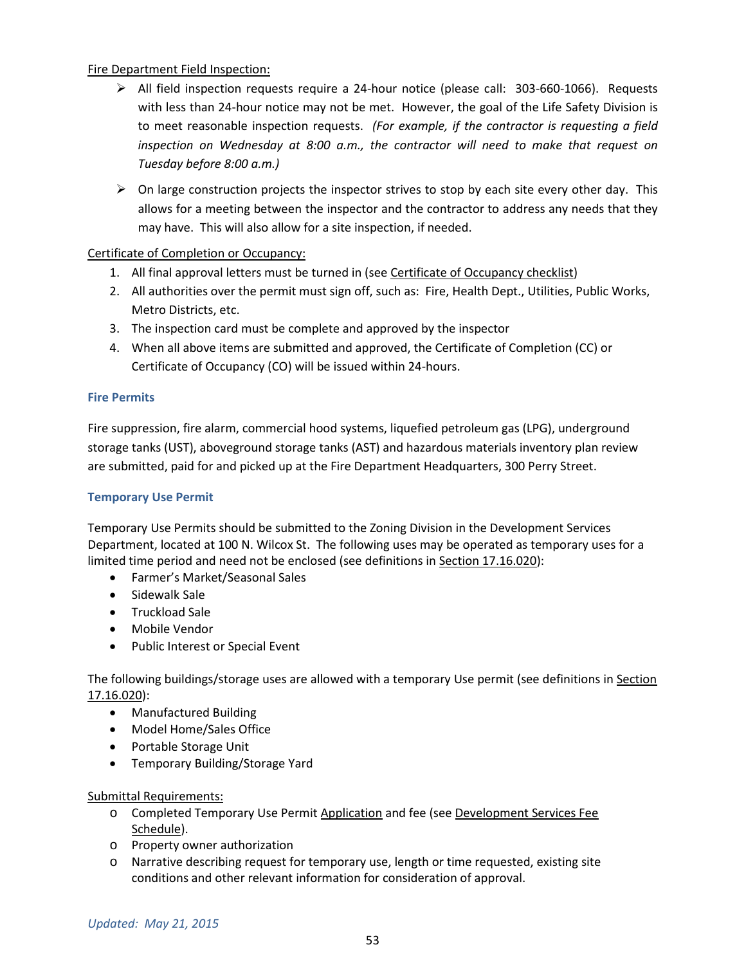# Fire Department Field Inspection:

- $\triangleright$  All field inspection requests require a 24-hour notice (please call: 303-660-1066). Requests with less than 24-hour notice may not be met. However, the goal of the Life Safety Division is to meet reasonable inspection requests. *(For example, if the contractor is requesting a field inspection on Wednesday at 8:00 a.m., the contractor will need to make that request on Tuesday before 8:00 a.m.)*
- $\triangleright$  On large construction projects the inspector strives to stop by each site every other day. This allows for a meeting between the inspector and the contractor to address any needs that they may have. This will also allow for a site inspection, if needed.

# Certificate of Completion or Occupancy:

- 1. All final approval letters must be turned in (see Certificate of Occupancy checklist)
- 2. All authorities over the permit must sign off, such as: Fire, Health Dept., Utilities, Public Works, Metro Districts, etc.
- 3. The inspection card must be complete and approved by the inspector
- 4. When all above items are submitted and approved, the Certificate of Completion (CC) or Certificate of Occupancy (CO) will be issued within 24-hours.

# **Fire Permits**

Fire suppression, fire alarm, commercial hood systems, liquefied petroleum gas (LPG), underground storage tanks (UST), aboveground storage tanks (AST) and hazardous materials inventory plan review are submitted, paid for and picked up at the Fire Department Headquarters, 300 Perry Street.

## **Temporary Use Permit**

Temporary Use Permits should be submitted to the Zoning Division in the Development Services Department, located at 100 N. Wilcox St. The following uses may be operated as temporary uses for a limited time period and need not be enclosed (see definitions in Section 17.16.020):

- Farmer's Market/Seasonal Sales
- Sidewalk Sale
- Truckload Sale
- Mobile Vendor
- Public Interest or Special Event

The following buildings/storage uses are allowed with a temporary Use permit (see definitions in Section 17.16.020):

- Manufactured Building
- Model Home/Sales Office
- Portable Storage Unit
- Temporary Building/Storage Yard

## Submittal Requirements:

- o Completed Temporary Use Permit Application and fee (see Development Services Fee Schedule).
- o Property owner authorization
- o Narrative describing request for temporary use, length or time requested, existing site conditions and other relevant information for consideration of approval.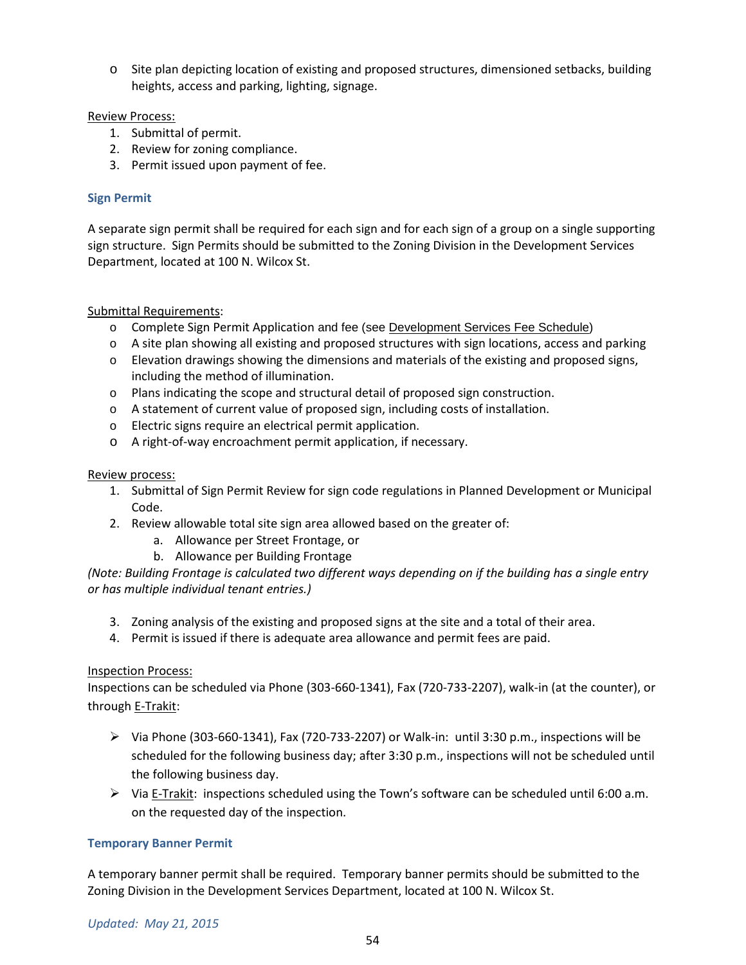o Site plan depicting location of existing and proposed structures, dimensioned setbacks, building heights, access and parking, lighting, signage.

# Review Process:

- 1. Submittal of permit.
- 2. Review for zoning compliance.
- 3. Permit issued upon payment of fee.

# **Sign Permit**

A separate sign permit shall be required for each sign and for each sign of a group on a single supporting sign structure. Sign Permits should be submitted to the Zoning Division in the Development Services Department, located at 100 N. Wilcox St.

# Submittal Requirements:

- o Complete Sign Permit Application and fee (see Development Services Fee Schedule)
- o A site plan showing all existing and proposed structures with sign locations, access and parking
- o Elevation drawings showing the dimensions and materials of the existing and proposed signs, including the method of illumination.
- o Plans indicating the scope and structural detail of proposed sign construction.
- o A statement of current value of proposed sign, including costs of installation.
- o Electric signs require an electrical permit application.
- o A right-of-way encroachment permit application, if necessary.

## Review process:

- 1. Submittal of Sign Permit Review for sign code regulations in Planned Development or Municipal Code.
- 2. Review allowable total site sign area allowed based on the greater of:
	- a. Allowance per Street Frontage, or
	- b. Allowance per Building Frontage

*(Note: Building Frontage is calculated two different ways depending on if the building has a single entry or has multiple individual tenant entries.)*

- 3. Zoning analysis of the existing and proposed signs at the site and a total of their area.
- 4. Permit is issued if there is adequate area allowance and permit fees are paid.

## Inspection Process:

Inspections can be scheduled via Phone (303-660-1341), Fax (720-733-2207), walk-in (at the counter), or through E-Trakit:

- $\triangleright$  Via Phone (303-660-1341), Fax (720-733-2207) or Walk-in: until 3:30 p.m., inspections will be scheduled for the following business day; after 3:30 p.m., inspections will not be scheduled until the following business day.
- Via E-Trakit: inspections scheduled using the Town's software can be scheduled until 6:00 a.m. on the requested day of the inspection.

## **Temporary Banner Permit**

A temporary banner permit shall be required. Temporary banner permits should be submitted to the Zoning Division in the Development Services Department, located at 100 N. Wilcox St.